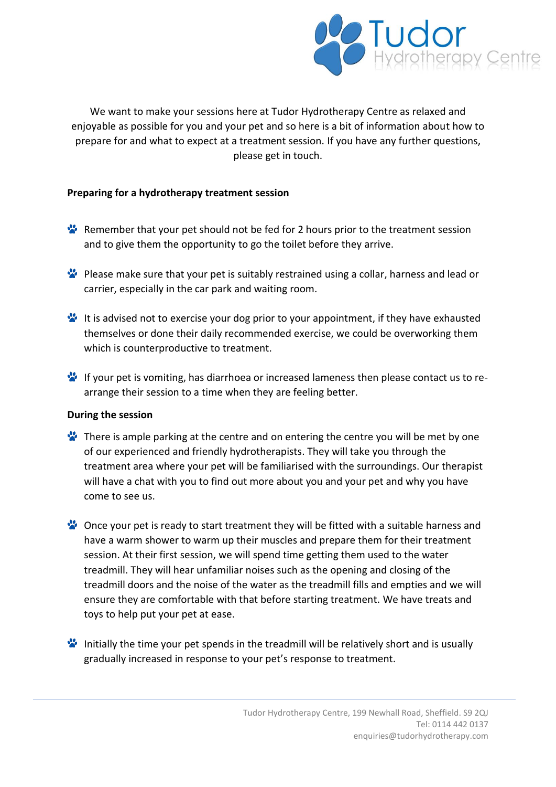

We want to make your sessions here at Tudor Hydrotherapy Centre as relaxed and enjoyable as possible for you and your pet and so here is a bit of information about how to prepare for and what to expect at a treatment session. If you have any further questions, please get in touch.

## **Preparing for a hydrotherapy treatment session**

- **Remember that your pet should not be fed for 2 hours prior to the treatment session** and to give them the opportunity to go the toilet before they arrive.
- Please make sure that your pet is suitably restrained using a collar, harness and lead or carrier, especially in the car park and waiting room.
- It is advised not to exercise your dog prior to your appointment, if they have exhausted themselves or done their daily recommended exercise, we could be overworking them which is counterproductive to treatment.
- If your pet is vomiting, has diarrhoea or increased lameness then please contact us to rearrange their session to a time when they are feeling better.

## **During the session**

- There is ample parking at the centre and on entering the centre you will be met by one of our experienced and friendly hydrotherapists. They will take you through the treatment area where your pet will be familiarised with the surroundings. Our therapist will have a chat with you to find out more about you and your pet and why you have come to see us.
- Once your pet is ready to start treatment they will be fitted with a suitable harness and have a warm shower to warm up their muscles and prepare them for their treatment session. At their first session, we will spend time getting them used to the water treadmill. They will hear unfamiliar noises such as the opening and closing of the treadmill doors and the noise of the water as the treadmill fills and empties and we will ensure they are comfortable with that before starting treatment. We have treats and toys to help put your pet at ease.
- Initially the time your pet spends in the treadmill will be relatively short and is usually gradually increased in response to your pet's response to treatment.